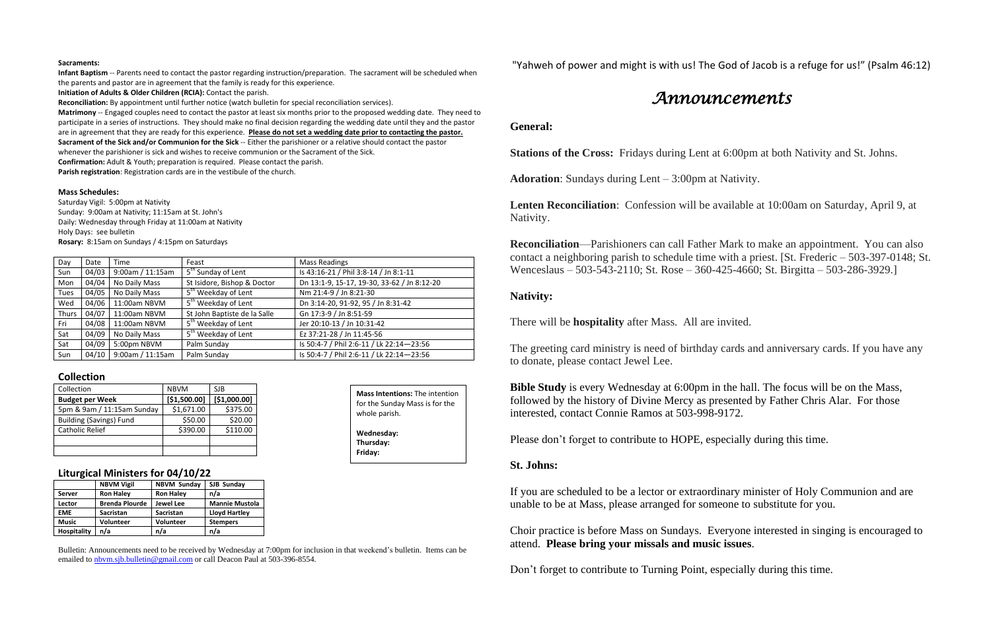### **Sacraments:**

**Infant Baptism** -- Parents need to contact the pastor regarding instruction/preparation. The sacrament will be scheduled when the parents and pastor are in agreement that the family is ready for this experience.

**Initiation of Adults & Older Children (RCIA):** Contact the parish.

**Reconciliation:** By appointment until further notice (watch bulletin for special reconciliation services).

**Matrimony** -- Engaged couples need to contact the pastor at least six months prior to the proposed wedding date. They need to participate in a series of instructions. They should make no final decision regarding the wedding date until they and the pastor are in agreement that they are ready for this experience. **Please do not set a wedding date prior to contacting the pastor. Sacrament of the Sick and/or Communion for the Sick** -- Either the parishioner or a relative should contact the pastor whenever the parishioner is sick and wishes to receive communion or the Sacrament of the Sick. **Confirmation:** Adult & Youth; preparation is required. Please contact the parish.

**Parish registration**: Registration cards are in the vestibule of the church.

### **Mass Schedules:**

Saturday Vigil: 5:00pm at Nativity Sunday: 9:00am at Nativity; 11:15am at St. John's Daily: Wednesday through Friday at 11:00am at Nativity Holy Days: see bulletin **Rosary:** 8:15am on Sundays / 4:15pm on Saturdays

| Day          | Date  | Time             | Feast                           | <b>Mass Readings</b>                        |
|--------------|-------|------------------|---------------------------------|---------------------------------------------|
| Sun          | 04/03 | 9:00am / 11:15am | 5 <sup>th</sup> Sunday of Lent  | Is 43:16-21 / Phil 3:8-14 / Jn 8:1-11       |
| Mon          | 04/04 | No Daily Mass    | St Isidore, Bishop & Doctor     | Dn 13:1-9, 15-17, 19-30, 33-62 / Jn 8:12-20 |
| <b>Tues</b>  | 04/05 | No Daily Mass    | 5 <sup>th</sup> Weekday of Lent | Nm 21:4-9 / Jn 8:21-30                      |
| Wed          | 04/06 | 11:00am NBVM     | 5 <sup>th</sup> Weekday of Lent | Dn 3:14-20, 91-92, 95 / Jn 8:31-42          |
| <b>Thurs</b> | 04/07 | 11:00am NBVM     | St John Baptiste de la Salle    | Gn 17:3-9 / Jn 8:51-59                      |
| Fri          | 04/08 | 11:00am NBVM     | 5 <sup>th</sup> Weekday of Lent | Jer 20:10-13 / Jn 10:31-42                  |
| Sat          | 04/09 | No Daily Mass    | 5 <sup>th</sup> Weekday of Lent | Ez 37:21-28 / Jn 11:45-56                   |
| Sat          | 04/09 | 5:00pm NBVM      | Palm Sunday                     | Is 50:4-7 / Phil 2:6-11 / Lk 22:14-23:56    |
| Sun          | 04/10 | 9:00am / 11:15am | Palm Sunday                     | Is 50:4-7 / Phil 2:6-11 / Lk 22:14-23:56    |

**Bible Study** is every Wednesday at 6:00pm in the hall. The focus will be on the Mass, followed by the history of Divine Mercy as presented by Father Chris Alar. For those interested, contact Connie Ramos at 503-998-9172.

### **Collection**

| Collection                     | <b>NBVM</b>  | SJB          |
|--------------------------------|--------------|--------------|
| <b>Budget per Week</b>         | [\$1,500.00] | [\$1,000.00] |
| 5pm & 9am / 11:15am Sunday     | \$1,671.00   | \$375.00     |
| <b>Building (Savings) Fund</b> | \$50.00      | \$20.00      |
| <b>Catholic Relief</b>         | \$390.00     | \$110.00     |
|                                |              |              |
|                                |              |              |

## **Liturgical Ministers for 04/10/22**

|                    | <b>NBVM Vigil</b>     | <b>NBVM Sunday</b> | SJB Sunday            |  |
|--------------------|-----------------------|--------------------|-----------------------|--|
| <b>Server</b>      | <b>Ron Haley</b>      | <b>Ron Haley</b>   | n/a                   |  |
| Lector             | <b>Brenda Plourde</b> | <b>Jewel Lee</b>   | <b>Mannie Mustola</b> |  |
| <b>EME</b>         | <b>Sacristan</b>      | <b>Sacristan</b>   | Lloyd Hartley         |  |
| <b>Music</b>       | Volunteer             | <b>Volunteer</b>   | <b>Stempers</b>       |  |
| <b>Hospitality</b> | n/a                   | n/a                | n/a                   |  |

Bulletin: Announcements need to be received by Wednesday at 7:00pm for inclusion in that weekend's bulletin. Items can be emailed to [nbvm.sjb.bulletin@gmail.com](mailto:nbvm.sjb.bulletin@gmail.com) or call Deacon Paul at 503-396-8554.

"Yahweh of power and might is with us! The God of Jacob is a refuge for us!" (Psalm 46:12)

# *Announcements*

# **General:**

**Stations of the Cross:** Fridays during Lent at 6:00pm at both Nativity and St. Johns.

Adoration: Sundays during Lent – 3:00pm at Nativity.

**Lenten Reconciliation**: Confession will be available at 10:00am on Saturday, April 9, at Nativity.

**Reconciliation**—Parishioners can call Father Mark to make an appointment. You can also contact a neighboring parish to schedule time with a priest. [St. Frederic – 503-397-0148; St. Wenceslaus – 503-543-2110; St. Rose – 360-425-4660; St. Birgitta – 503-286-3929.]

## **Nativity:**

There will be **hospitality** after Mass. All are invited.

The greeting card ministry is need of birthday cards and anniversary cards. If you have any to donate, please contact Jewel Lee.

Please don't forget to contribute to HOPE, especially during this time.

# **St. Johns:**

If you are scheduled to be a lector or extraordinary minister of Holy Communion and are unable to be at Mass, please arranged for someone to substitute for you.

Choir practice is before Mass on Sundays. Everyone interested in singing is encouraged to attend. **Please bring your missals and music issues**.

Don't forget to contribute to Turning Point, especially during this time.

**Mass Intentions:** The intention for the Sunday Mass is for the

whole parish.

**Wednesday: Thursday: Friday:**